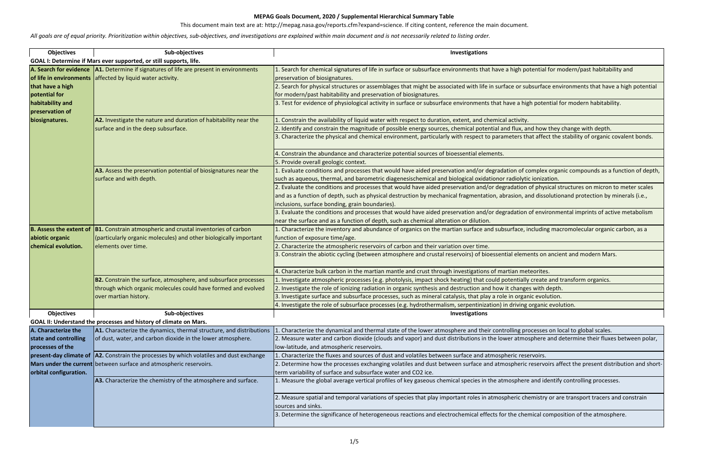This document main text are at: http://mepag.nasa.gov/reports.cfm?expand=science. If citing content, reference the main document.

net potential for modern/past habitability and

r subsurface environments that have a high potential

i high potential for modern habitability.

 $x$ , and how they change with depth.

s that affect the stability of organic covalent bonds.

of complex organic compounds as a function of depth, lytic ionization.

ion of physical structures on micron to meter scales n, and dissolutionand protection by minerals (i.e.,

ion of environmental imprints of active metabolism

ne, including macromolecular organic carbon, as and subsurface and subsurface and subsurface and subsurface an

ements on ancient and modern Mars.

ially create and transform organics.

nges with depth.

rganic evolution.

ing organic evolution.

the dynamical and the dynamical states and the global scales. mosphere and determine their fluxes between polar,

eric reservoirs affect the present distribution and short-

nere and identify controlling processes.

2. Chemistry or are transport tracers and constrain

chemical composition of the atmosphere.

| <b>Objectives</b>                                 | Sub-objectives                                                                                                                          | Investigations                                                                                                                                                                                                            |
|---------------------------------------------------|-----------------------------------------------------------------------------------------------------------------------------------------|---------------------------------------------------------------------------------------------------------------------------------------------------------------------------------------------------------------------------|
|                                                   | GOAL I: Determine if Mars ever supported, or still supports, life.                                                                      |                                                                                                                                                                                                                           |
| of life in environments                           | A. Search for evidence   A1. Determine if signatures of life are present in environments<br>affected by liquid water activity.          | 1. Search for chemical signatures of life in surface or subsurface environments that have a high potential f<br>preservation of biosignatures.                                                                            |
| that have a high<br>potential for                 |                                                                                                                                         | 2. Search for physical structures or assemblages that might be associated with life in surface or subsurface<br>for modern/past habitability and preservation of biosignatures.                                           |
| habitability and<br>preservation of               |                                                                                                                                         | 3. Test for evidence of physiological activity in surface or subsurface environments that have a high poten                                                                                                               |
| biosignatures.                                    | A2. Investigate the nature and duration of habitability near the                                                                        | . Constrain the availability of liquid water with respect to duration, extent, and chemical activity.                                                                                                                     |
|                                                   | surface and in the deep subsurface.                                                                                                     | 2. Identify and constrain the magnitude of possible energy sources, chemical potential and flux, and how to<br>3. Characterize the physical and chemical environment, particularly with respect to parameters that affect |
|                                                   |                                                                                                                                         | 4. Constrain the abundance and characterize potential sources of bioessential elements.                                                                                                                                   |
|                                                   | A3. Assess the preservation potential of biosignatures near the                                                                         | 5. Provide overall geologic context.<br>1. Evaluate conditions and processes that would have aided preservation and/or degradation of complex                                                                             |
|                                                   | surface and with depth.                                                                                                                 | such as aqueous, thermal, and barometric diagenesischemical and biological oxidationor radiolytic ionizat                                                                                                                 |
|                                                   |                                                                                                                                         | 2. Evaluate the conditions and processes that would have aided preservation and/or degradation of physi                                                                                                                   |
|                                                   |                                                                                                                                         | and as a function of depth, such as physical destruction by mechanical fragmentation, abrasion, and disso                                                                                                                 |
|                                                   |                                                                                                                                         | inclusions, surface bonding, grain boundaries).                                                                                                                                                                           |
|                                                   |                                                                                                                                         | 3. Evaluate the conditions and processes that would have aided preservation and/or degradation of envire                                                                                                                  |
|                                                   |                                                                                                                                         | near the surface and as a function of depth, such as chemical alteration or dilution.                                                                                                                                     |
| <b>B. Assess the extent of</b><br>abiotic organic | <b>B1.</b> Constrain atmospheric and crustal inventories of carbon<br>(particularly organic molecules) and other biologically important | 1. Characterize the inventory and abundance of organics on the martian surface and subsurface, including<br>function of exposure time/age.                                                                                |
| chemical evolution.                               | elements over time.                                                                                                                     | 2. Characterize the atmospheric reservoirs of carbon and their variation over time.                                                                                                                                       |
|                                                   |                                                                                                                                         | 3. Constrain the abiotic cycling (between atmosphere and crustal reservoirs) of bioessential elements on a                                                                                                                |
|                                                   |                                                                                                                                         | 4. Characterize bulk carbon in the martian mantle and crust through investigations of martian meteorites.                                                                                                                 |
|                                                   | <b>B2.</b> Constrain the surface, atmosphere, and subsurface processes                                                                  | 1. Investigate atmospheric processes (e.g. photolysis, impact shock heating) that could potentially create                                                                                                                |
|                                                   | through which organic molecules could have formed and evolved                                                                           | 2. Investigate the role of ionizing radiation in organic synthesis and destruction and how it changes with d                                                                                                              |
|                                                   | over martian history.                                                                                                                   | 3. Investigate surface and subsurface processes, such as mineral catalysis, that play a role in organic evolu                                                                                                             |
|                                                   |                                                                                                                                         | 4. Investigate the role of subsurface processes (e.g. hydrothermalism, serpentinization) in driving organic                                                                                                               |
| <b>Objectives</b>                                 | Sub-objectives<br>GOAL II: Understand the processes and history of climate on Mars.                                                     | Investigations                                                                                                                                                                                                            |
| A. Characterize the                               | A1. Characterize the dynamics, thermal structure, and distributions                                                                     | 1. Characterize the dynamical and thermal state of the lower atmosphere and their controlling processes                                                                                                                   |
| state and controlling<br>processes of the         | of dust, water, and carbon dioxide in the lower atmosphere.                                                                             | 2. Measure water and carbon dioxide (clouds and vapor) and dust distributions in the lower atmosphere a<br>low-latitude, and atmospheric reservoirs.                                                                      |
|                                                   | present-day climate of  A2. Constrain the processes by which volatiles and dust exchange                                                | 1. Characterize the fluxes and sources of dust and volatiles between surface and atmospheric reservoirs.                                                                                                                  |
| orbital configuration.                            | Mars under the current between surface and atmospheric reservoirs.                                                                      | 2. Determine how the processes exchanging volatiles and dust between surface and atmospheric reservoi<br>term variability of surface and subsurface water and CO2 ice.                                                    |
|                                                   | A3. Characterize the chemistry of the atmosphere and surface.                                                                           | 1. Measure the global average vertical profiles of key gaseous chemical species in the atmosphere and ide                                                                                                                 |
|                                                   |                                                                                                                                         | 2. Measure spatial and temporal variations of species that play important roles in atmospheric chemistry<br>sources and sinks.                                                                                            |
|                                                   |                                                                                                                                         | 3. Determine the significance of heterogeneous reactions and electrochemical effects for the chemical co                                                                                                                  |

*All goals are of equal priority. Prioritization within objectives, sub-objectives, and investigations are explained within main document and is not necessarily related to listing order.*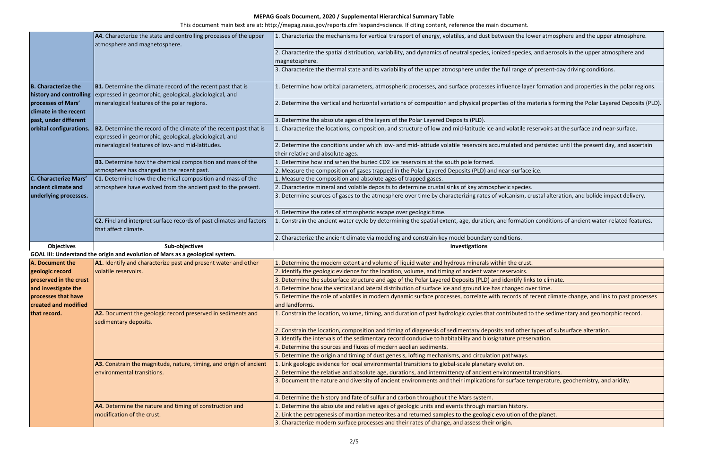This document main text are at: http://mepag.nasa.gov/reports.cfm?expand=science. If citing content, reference the main document.

1. Endepertierize the mechanism for energy for the lower atmosphere.

cies, and aerosols in the upper atmosphere and

ge of present-day driving conditions.

layer formation and properties in the polar regions.

ne materials forming the Polar Layered Deposits (PLD).

le reservoirs at the surface and near-surface.

l and persisted until the present day, and ascertain

m, crustal alteration, and bolide impact delivery.

ation conditions of ancient water-related features.

but inks to climate.

d over time.

of recent climate change, and link to past processes

ed to the sedimentary and geomorphic record.

her types of subsurface alteration.

ntal transitions.

be temperature, geochemistry, and aridity.

of the planet.

|                                                       | <b>A4.</b> Characterize the state and controlling processes of the upper<br>atmosphere and magnetosphere.                            | 1. Characterize the mechanisms for vertical transport of energy, volatiles, and dust between the lower atm                                     |
|-------------------------------------------------------|--------------------------------------------------------------------------------------------------------------------------------------|------------------------------------------------------------------------------------------------------------------------------------------------|
|                                                       |                                                                                                                                      | 2. Characterize the spatial distribution, variability, and dynamics of neutral species, ionized species, and ae<br>magnetosphere.              |
|                                                       |                                                                                                                                      | 3. Characterize the thermal state and its variability of the upper atmosphere under the full range of preser                                   |
| <b>B.</b> Characterize the<br>history and controlling | <b>B1.</b> Determine the climate record of the recent past that is<br>expressed in geomorphic, geological, glaciological, and        | 1. Determine how orbital parameters, atmospheric processes, and surface processes influence layer forma                                        |
| processes of Mars'<br>climate in the recent           | mineralogical features of the polar regions.                                                                                         | 2. Determine the vertical and horizontal variations of composition and physical properties of the materials                                    |
| past, under different                                 |                                                                                                                                      | 3. Determine the absolute ages of the layers of the Polar Layered Deposits (PLD).                                                              |
| orbital configurations.                               | <b>B2.</b> Determine the record of the climate of the recent past that is<br>expressed in geomorphic, geological, glaciological, and | 1. Characterize the locations, composition, and structure of low and mid-latitude ice and volatile reservoir                                   |
|                                                       | mineralogical features of low- and mid-latitudes.                                                                                    | 2. Determine the conditions under which low- and mid-latitude volatile reservoirs accumulated and persist<br>their relative and absolute ages. |
|                                                       | <b>B3.</b> Determine how the chemical composition and mass of the                                                                    | 1. Determine how and when the buried CO2 ice reservoirs at the south pole formed.                                                              |
|                                                       | atmosphere has changed in the recent past.                                                                                           | 2. Measure the composition of gases trapped in the Polar Layered Deposits (PLD) and near-surface ice.                                          |
| C. Characterize Mars'                                 | <b>C1.</b> Determine how the chemical composition and mass of the                                                                    | 1. Measure the composition and absolute ages of trapped gases.                                                                                 |
| ancient climate and                                   | atmosphere have evolved from the ancient past to the present.                                                                        | 2. Characterize mineral and volatile deposits to determine crustal sinks of key atmospheric species.                                           |
| underlying processes.                                 |                                                                                                                                      | 3. Determine sources of gases to the atmosphere over time by characterizing rates of volcanism, crustal al                                     |
|                                                       |                                                                                                                                      | 4. Determine the rates of atmospheric escape over geologic time.                                                                               |
|                                                       | C2. Find and interpret surface records of past climates and factors<br>that affect climate.                                          | 1. Constrain the ancient water cycle by determining the spatial extent, age, duration, and formation condit                                    |
|                                                       |                                                                                                                                      | 2. Characterize the ancient climate via modeling and constrain key model boundary conditions.                                                  |
| <b>Objectives</b>                                     | Sub-objectives                                                                                                                       | Investigations                                                                                                                                 |
|                                                       | GOAL III: Understand the origin and evolution of Mars as a geological system.                                                        |                                                                                                                                                |
| A. Document the                                       | A1. Identify and characterize past and present water and other                                                                       | 1. Determine the modern extent and volume of liquid water and hydrous minerals within the crust.                                               |
| geologic record                                       | volatile reservoirs.                                                                                                                 | 2. Identify the geologic evidence for the location, volume, and timing of ancient water reservoirs.                                            |
| preserved in the crust                                |                                                                                                                                      | 3. Determine the subsurface structure and age of the Polar Layered Deposits (PLD) and identify links to clir                                   |
| and investigate the                                   |                                                                                                                                      | 4. Determine how the vertical and lateral distribution of surface ice and ground ice has changed over time                                     |
| processes that have<br>created and modified           |                                                                                                                                      | 5. Determine the role of volatiles in modern dynamic surface processes, correlate with records of recent c<br>and landforms.                   |
| that record.                                          | A2. Document the geologic record preserved in sediments and<br>sedimentary deposits.                                                 | 1. Constrain the location, volume, timing, and duration of past hydrologic cycles that contributed to the se                                   |
|                                                       |                                                                                                                                      | 2. Constrain the location, composition and timing of diagenesis of sedimentary deposits and other types of                                     |
|                                                       |                                                                                                                                      | 3. Identify the intervals of the sedimentary record conducive to habitability and biosignature preservation.                                   |
|                                                       |                                                                                                                                      | 4. Determine the sources and fluxes of modern aeolian sediments.                                                                               |
|                                                       |                                                                                                                                      | 5. Determine the origin and timing of dust genesis, lofting mechanisms, and circulation pathways.                                              |
|                                                       | A3. Constrain the magnitude, nature, timing, and origin of ancient                                                                   | 1. Link geologic evidence for local environmental transitions to global-scale planetary evolution.                                             |
|                                                       | environmental transitions.                                                                                                           | 2. Determine the relative and absolute age, durations, and intermittency of ancient environmental transiti                                     |
|                                                       |                                                                                                                                      | 3. Document the nature and diversity of ancient environments and their implications for surface temperat                                       |
|                                                       |                                                                                                                                      | 4. Determine the history and fate of sulfur and carbon throughout the Mars system.                                                             |
|                                                       | A4. Determine the nature and timing of construction and                                                                              | 1. Determine the absolute and relative ages of geologic units and events through martian history.                                              |
|                                                       | modification of the crust.                                                                                                           | 2. Link the petrogenesis of martian meteorites and returned samples to the geologic evolution of the plane                                     |
|                                                       |                                                                                                                                      | 3. Characterize modern surface processes and their rates of change, and assess their origin.                                                   |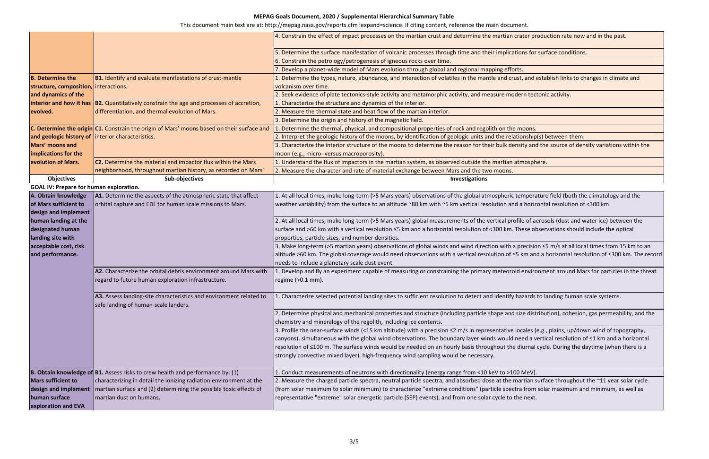This document main text are at: http://mepag.nasa.gov/reports.cfm?expand=science. If citing content, reference the main document.

ater production rate now and in the past.

ns for surface conditions.

, and establish links to changes in climate and

rn tectonic activity.

onship(s) between them.

ity and the source of density variations within the

mperature field (both the climatology and the bility) from the surface to an altitude incorder to an altitude with  $\epsilon$ 

e of aerosols (dust and water ice) between the ese observations should include the optical

recision ≤5 m/s at all local times from 15 km to an km and a horizontal resolution of ≤300 km. The record

environment around Mars for particles in the threat

zards to landing human scale systems.

ze distribution), cohesion, gas permeability, and the

2. ales (e.g., plains, up/down wind of topography, ed a vertical resolution of ≤1 km and a horizontal iurnal cycle. During the daytime (when there is a

rtian surface throughout the  $\simeq$ 11 year solar cycle from solar maximum and minimum, as well as

|                                                   |                                                                                            | 4. Constrain the effect of impact processes on the martian crust and determine the martian crater produ            |
|---------------------------------------------------|--------------------------------------------------------------------------------------------|--------------------------------------------------------------------------------------------------------------------|
|                                                   |                                                                                            | 5. Determine the surface manifestation of volcanic processes through time and their implications for surf          |
|                                                   |                                                                                            | 6. Constrain the petrology/petrogenesis of igneous rocks over time.                                                |
|                                                   |                                                                                            | 7. Develop a planet-wide model of Mars evolution through global and regional mapping efforts.                      |
| <b>B.</b> Determine the                           | <b>B1.</b> Identify and evaluate manifestations of crust-mantle                            | 1. Determine the types, nature, abundance, and interaction of volatiles in the mantle and crust, and esta          |
| structure, composition, interactions.             |                                                                                            | volcanism over time.                                                                                               |
| and dynamics of the                               |                                                                                            | 2. Seek evidence of plate tectonics-style activity and metamorphic activity, and measure modern tectoni            |
|                                                   | interior and how it has  B2. Quantitatively constrain the age and processes of accretion,  | 1. Characterize the structure and dynamics of the interior.                                                        |
| evolved.                                          | differentiation, and thermal evolution of Mars.                                            | 2. Measure the thermal state and heat flow of the martian interior.                                                |
|                                                   |                                                                                            | 3. Determine the origin and history of the magnetic field.                                                         |
|                                                   | C. Determine the origin C1. Constrain the origin of Mars' moons based on their surface and | 1. Determine the thermal, physical, and compositional properties of rock and regolith on the moons.                |
| and geologic history of interior characteristics. |                                                                                            | 2. Interpret the geologic history of the moons, by identification of geologic units and the relationship(s) b      |
| Mars' moons and                                   |                                                                                            | 3. Characterize the interior structure of the moons to determine the reason for their bulk density and the         |
| implications for the                              |                                                                                            | moon (e.g., micro- versus macroporosity).                                                                          |
| evolution of Mars.                                | <b>C2.</b> Determine the material and impactor flux within the Mars                        | 1. Understand the flux of impactors in the martian system, as observed outside the martian atmosphere.             |
|                                                   | neighborhood, throughout martian history, as recorded on Mars'                             | 2. Measure the character and rate of material exchange between Mars and the two moons.                             |
| <b>Objectives</b>                                 | Sub-objectives                                                                             | Investigations                                                                                                     |
| <b>GOAL IV: Prepare for human exploration.</b>    |                                                                                            |                                                                                                                    |
| A. Obtain knowledge                               | A1. Determine the aspects of the atmospheric state that affect                             | 1. At all local times, make long-term (>5 Mars years) observations of the global atmospheric temperature           |
| of Mars sufficient to                             | orbital capture and EDL for human scale missions to Mars.                                  | weather variability) from the surface to an altitude ~80 km with ~5 km vertical resolution and a horizonta         |
| design and implement                              |                                                                                            |                                                                                                                    |
| human landing at the                              |                                                                                            | 2. At all local times, make long-term (>5 Mars years) global measurements of the vertical profile of aeros         |
| designated human                                  |                                                                                            | surface and >60 km with a vertical resolution ≤5 km and a horizontal resolution of <300 km. These obser            |
| landing site with                                 |                                                                                            | properties, particle sizes, and number densities.                                                                  |
| acceptable cost, risk                             |                                                                                            | 3. Make long-term (>5 martian years) observations of global winds and wind direction with a precision $\leq$       |
| and performance.                                  |                                                                                            | altitude >60 km. The global coverage would need observations with a vertical resolution of $\leq$ 5 km and a l     |
|                                                   |                                                                                            | needs to include a planetary scale dust event.                                                                     |
|                                                   | A2. Characterize the orbital debris environment around Mars with                           | 1. Develop and fly an experiment capable of measuring or constraining the primary meteoroid environm               |
|                                                   | regard to future human exploration infrastructure.                                         | regime (>0.1 mm).                                                                                                  |
|                                                   |                                                                                            |                                                                                                                    |
|                                                   | A3. Assess landing-site characteristics and environment related to                         | 1. Characterize selected potential landing sites to sufficient resolution to detect and identify hazards to la     |
|                                                   | safe landing of human-scale landers.                                                       |                                                                                                                    |
|                                                   |                                                                                            | 2. Determine physical and mechanical properties and structure (including particle shape and size distribu          |
|                                                   |                                                                                            | chemistry and mineralogy of the regolith, including ice contents.                                                  |
|                                                   |                                                                                            | 3. Profile the near-surface winds (<15 km altitude) with a precision $\leq$ 2 m/s in representative locales (e.g., |
|                                                   |                                                                                            | canyons), simultaneous with the global wind observations. The boundary layer winds would need a vertio             |
|                                                   |                                                                                            | resolution of ≤100 m. The surface winds would be needed on an hourly basis throughout the diurnal cycl             |
|                                                   |                                                                                            | strongly convective mixed layer), high-frequency wind sampling would be necessary.                                 |
|                                                   | <b>B. Obtain knowledge of B1.</b> Assess risks to crew health and performance by: (1)      | . Conduct measurements of neutrons with directionality (energy range from <10 keV to >100 MeV).                    |
| <b>Mars sufficient to</b>                         | characterizing in detail the ionizing radiation environment at the                         | 2. Measure the charged particle spectra, neutral particle spectra, and absorbed dose at the martian surfa          |
| design and implement                              | martian surface and (2) determining the possible toxic effects of                          | (from solar maximum to solar minimum) to characterize "extreme conditions" (particle spectra from sola             |
| human surface                                     | martian dust on humans.                                                                    | representative "extreme" solar energetic particle (SEP) events), and from one solar cycle to the next.             |
| exploration and EVA                               |                                                                                            |                                                                                                                    |
|                                                   |                                                                                            |                                                                                                                    |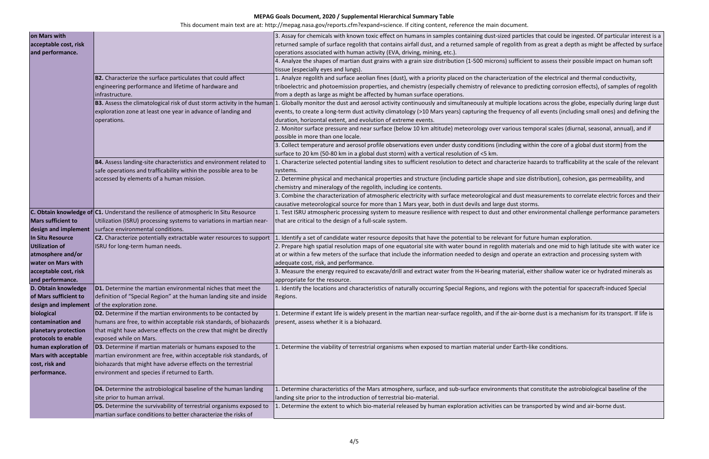This document main text are at: http://mepag.nasa.gov/reports.cfm?expand=science. If citing content, reference the main document.

ticles that could be ingested. Of particular interest is a from as great a depth as might be affected by surface

tient to assess their possible impact on human soft

on of the electrical and thermal conductivity, predicting corrosion effects), of samples of regolith

ocations across the globe, especially during large dust y of all events (including small ones) and defining the

temporal scales (diurnal, seasonal, annual), and if

within the core of a global dust storm) from the

ze hazards to trafficability at the scale of the relevant

<sup>2</sup> distribution), cohesion, gas permeability, and

<sup>3</sup>. Stombing measurements to correlate electric forces and their

er environmental challenge performance parameters

future human exploration.

erials and one mid to high latitude site with water ice rate an extraction and processing system with

I, either shallow water ice or hydrated minerals as

with the potential for spacecraft-induced Special

oorne dust is a mechanism for its transport. If life is

th-like conditions.

hat constitute the astrobiological baseline of the

transported by wind and air-borne dust.

| on Mars with<br>acceptable cost, risk<br>and performance.                                                            | B2. Characterize the surface particulates that could affect                                                                                                                                                                                         | 3. Assay for chemicals with known toxic effect on humans in samples containing dust-sized particles th<br>returned sample of surface regolith that contains airfall dust, and a returned sample of regolith from a<br>operations associated with human activity (EVA, driving, mining, etc.).<br>4. Analyze the shapes of martian dust grains with a grain size distribution (1-500 microns) sufficient to<br>tissue (especially eyes and lungs).<br>1. Analyze regolith and surface aeolian fines (dust), with a priority placed on the characterization of th |
|----------------------------------------------------------------------------------------------------------------------|-----------------------------------------------------------------------------------------------------------------------------------------------------------------------------------------------------------------------------------------------------|-----------------------------------------------------------------------------------------------------------------------------------------------------------------------------------------------------------------------------------------------------------------------------------------------------------------------------------------------------------------------------------------------------------------------------------------------------------------------------------------------------------------------------------------------------------------|
|                                                                                                                      | engineering performance and lifetime of hardware and<br>infrastructure.                                                                                                                                                                             | triboelectric and photoemission properties, and chemistry (especially chemistry of relevance to predio<br>from a depth as large as might be affected by human surface operations.                                                                                                                                                                                                                                                                                                                                                                               |
|                                                                                                                      | exploration zone at least one year in advance of landing and<br>operations.                                                                                                                                                                         | B3. Assess the climatological risk of dust storm activity in the human 1. Globally monitor the dust and aerosol activity continuously and simultaneously at multiple location<br>events, to create a long-term dust activity climatology (>10 Mars years) capturing the frequency of all<br>duration, horizontal extent, and evolution of extreme events.                                                                                                                                                                                                       |
|                                                                                                                      |                                                                                                                                                                                                                                                     | 2. Monitor surface pressure and near surface (below 10 km altitude) meteorology over various tempo<br>possible in more than one locale.                                                                                                                                                                                                                                                                                                                                                                                                                         |
|                                                                                                                      |                                                                                                                                                                                                                                                     | 3. Collect temperature and aerosol profile observations even under dusty conditions (including within<br>surface to 20 km (50-80 km in a global dust storm) with a vertical resolution of <5 km.                                                                                                                                                                                                                                                                                                                                                                |
|                                                                                                                      | B4. Assess landing-site characteristics and environment related to<br>safe operations and trafficability within the possible area to be                                                                                                             | 1. Characterize selected potential landing sites to sufficient resolution to detect and characterize haza<br>systems.                                                                                                                                                                                                                                                                                                                                                                                                                                           |
|                                                                                                                      | accessed by elements of a human mission.                                                                                                                                                                                                            | 2. Determine physical and mechanical properties and structure (including particle shape and size distr<br>chemistry and mineralogy of the regolith, including ice contents.<br>3. Combine the characterization of atmospheric electricity with surface meteorological and dust meas<br>causative meteorological source for more than 1 Mars year, both in dust devils and large dust storms.                                                                                                                                                                    |
| <b>Mars sufficient to</b><br>design and implement                                                                    | C. Obtain knowledge of C1. Understand the resilience of atmospheric In Situ Resource<br>Utilization (ISRU) processing systems to variations in martian near-<br>surface environmental conditions.                                                   | 1. Test ISRU atmospheric processing system to measure resilience with respect to dust and other envi<br>that are critical to the design of a full-scale system.                                                                                                                                                                                                                                                                                                                                                                                                 |
| In Situ Resource<br><b>Utilization of</b><br>atmosphere and/or<br><b>water on Mars with</b><br>acceptable cost, risk | C2. Characterize potentially extractable water resources to support<br>ISRU for long-term human needs.                                                                                                                                              | 1. Identify a set of candidate water resource deposits that have the potential to be relevant for future<br>2. Prepare high spatial resolution maps of one equatorial site with water bound in regolith materials a<br>at or within a few meters of the surface that include the information needed to design and operate ar<br>adequate cost, risk, and performance.<br>3. Measure the energy required to excavate/drill and extract water from the H-bearing material, eithe                                                                                  |
| and performance.<br>of Mars sufficient to<br>design and implement                                                    | D. Obtain knowledge   D1. Determine the martian environmental niches that meet the<br>definition of "Special Region" at the human landing site and inside<br>of the exploration zone.                                                               | appropriate for the resource.<br>1. Identify the locations and characteristics of naturally occurring Special Regions, and regions with th<br>Regions.                                                                                                                                                                                                                                                                                                                                                                                                          |
| biological<br>contamination and<br>planetary protection<br>protocols to enable                                       | D2. Determine if the martian environments to be contacted by<br>humans are free, to within acceptable risk standards, of biohazards<br>that might have adverse effects on the crew that might be directly<br>exposed while on Mars.                 | 1. Determine if extant life is widely present in the martian near-surface regolith, and if the air-borne d<br>present, assess whether it is a biohazard.                                                                                                                                                                                                                                                                                                                                                                                                        |
| human exploration of<br><b>Mars with acceptable</b><br>cost, risk and<br>performance.                                | D3. Determine if martian materials or humans exposed to the<br>martian environment are free, within acceptable risk standards, of<br>biohazards that might have adverse effects on the terrestrial<br>environment and species if returned to Earth. | 1. Determine the viability of terrestrial organisms when exposed to martian material under Earth-like                                                                                                                                                                                                                                                                                                                                                                                                                                                           |
|                                                                                                                      | D4. Determine the astrobiological baseline of the human landing<br>site prior to human arrival.                                                                                                                                                     | 1. Determine characteristics of the Mars atmosphere, surface, and sub-surface environments that cor<br>landing site prior to the introduction of terrestrial bio-material.                                                                                                                                                                                                                                                                                                                                                                                      |
|                                                                                                                      | D5. Determine the survivability of terrestrial organisms exposed to<br>martian surface conditions to better characterize the risks of                                                                                                               | 1. Determine the extent to which bio-material released by human exploration activities can be transp                                                                                                                                                                                                                                                                                                                                                                                                                                                            |